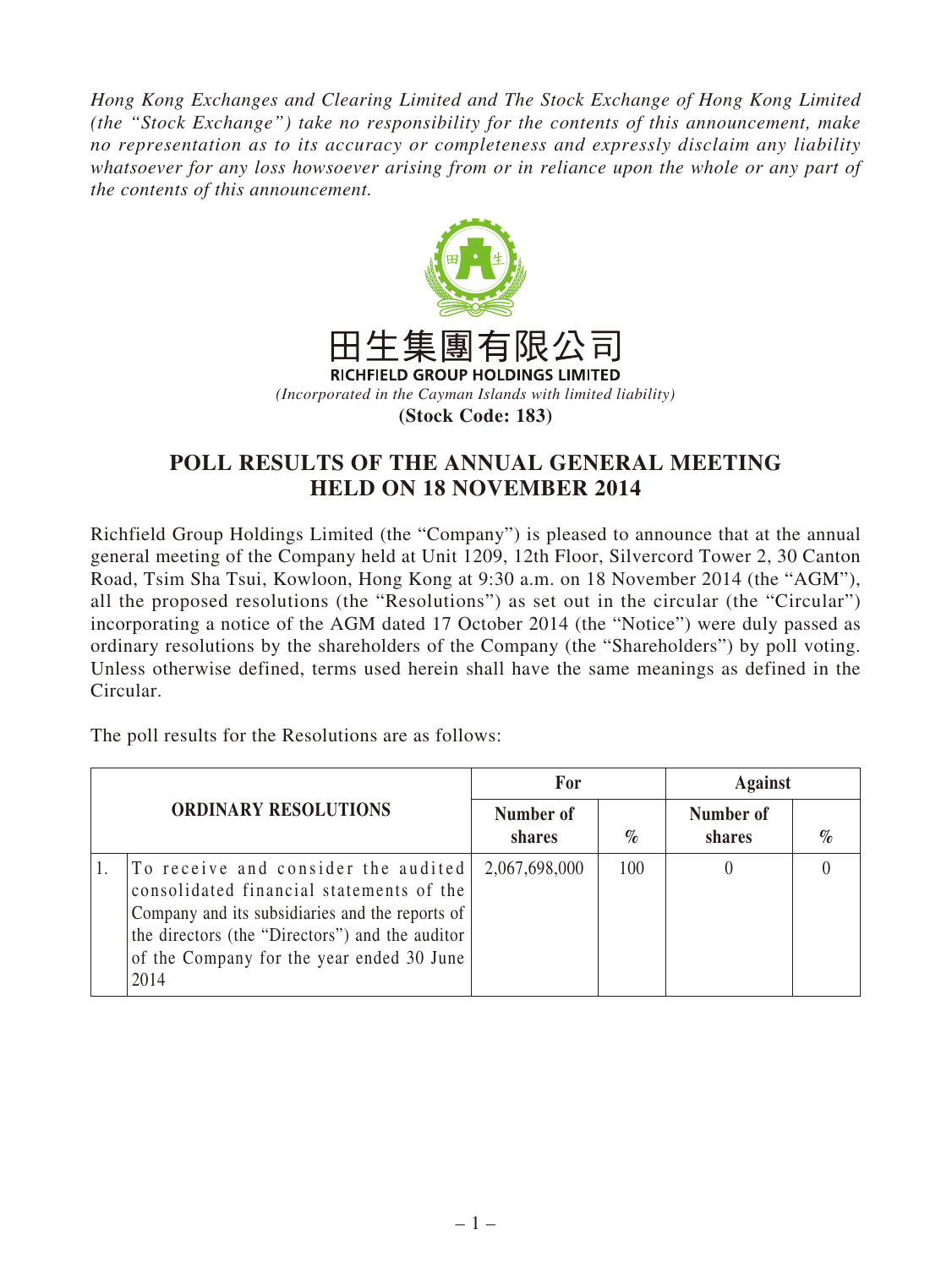*Hong Kong Exchanges and Clearing Limited and The Stock Exchange of Hong Kong Limited (the "Stock Exchange") take no responsibility for the contents of this announcement, make no representation as to its accuracy or completeness and expressly disclaim any liability whatsoever for any loss howsoever arising from or in reliance upon the whole or any part of the contents of this announcement.*



## **POLL RESULTS OF THE ANNUAL GENERAL MEETING HELD ON 18 NOVEMBER 2014**

Richfield Group Holdings Limited (the "Company") is pleased to announce that at the annual general meeting of the Company held at Unit 1209, 12th Floor, Silvercord Tower 2, 30 Canton Road, Tsim Sha Tsui, Kowloon, Hong Kong at 9:30 a.m. on 18 November 2014 (the "AGM"), all the proposed resolutions (the "Resolutions") as set out in the circular (the "Circular") incorporating a notice of the AGM dated 17 October 2014 (the "Notice") were duly passed as ordinary resolutions by the shareholders of the Company (the "Shareholders") by poll voting. Unless otherwise defined, terms used herein shall have the same meanings as defined in the Circular.

The poll results for the Resolutions are as follows:

| <b>ORDINARY RESOLUTIONS</b> |                                                                                                                                                                                                                                            | For                 |      | <b>Against</b>      |      |
|-----------------------------|--------------------------------------------------------------------------------------------------------------------------------------------------------------------------------------------------------------------------------------------|---------------------|------|---------------------|------|
|                             |                                                                                                                                                                                                                                            | Number of<br>shares | $\%$ | Number of<br>shares | $\%$ |
|                             | To receive and consider the audited<br>consolidated financial statements of the<br>Company and its subsidiaries and the reports of<br>the directors (the "Directors") and the auditor<br>of the Company for the year ended 30 June<br>2014 | 2,067,698,000       | 100  |                     |      |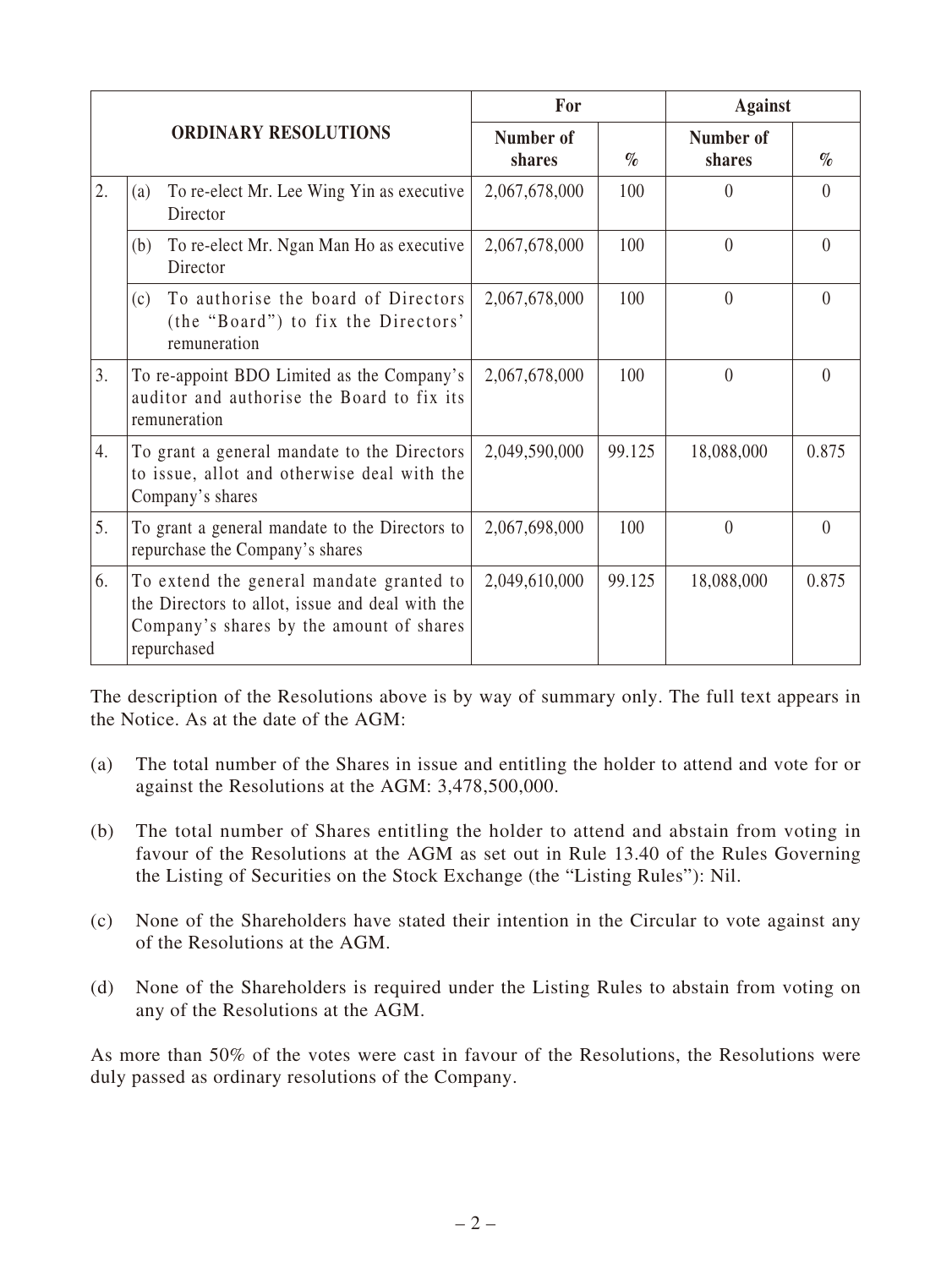|                             |                                                                                                                                                        | For                 |        | <b>Against</b>      |          |
|-----------------------------|--------------------------------------------------------------------------------------------------------------------------------------------------------|---------------------|--------|---------------------|----------|
| <b>ORDINARY RESOLUTIONS</b> |                                                                                                                                                        | Number of<br>shares | $\%$   | Number of<br>shares | $\%$     |
| 2.                          | To re-elect Mr. Lee Wing Yin as executive<br>(a)<br>Director                                                                                           | 2,067,678,000       | 100    | $\theta$            | $\Omega$ |
|                             | To re-elect Mr. Ngan Man Ho as executive<br>(b)<br>Director                                                                                            | 2,067,678,000       | 100    | $\theta$            | $\Omega$ |
|                             | To authorise the board of Directors<br>(c)<br>(the "Board") to fix the Directors'<br>remuneration                                                      | 2,067,678,000       | 100    | $\theta$            | $\Omega$ |
| 3.                          | To re-appoint BDO Limited as the Company's<br>auditor and authorise the Board to fix its<br>remuneration                                               | 2,067,678,000       | 100    | $\theta$            | $\theta$ |
| 4.                          | To grant a general mandate to the Directors<br>to issue, allot and otherwise deal with the<br>Company's shares                                         | 2,049,590,000       | 99.125 | 18,088,000          | 0.875    |
| 5.                          | To grant a general mandate to the Directors to<br>repurchase the Company's shares                                                                      | 2,067,698,000       | 100    | $\theta$            | $\theta$ |
| 6.                          | To extend the general mandate granted to<br>the Directors to allot, issue and deal with the<br>Company's shares by the amount of shares<br>repurchased | 2,049,610,000       | 99.125 | 18,088,000          | 0.875    |

The description of the Resolutions above is by way of summary only. The full text appears in the Notice. As at the date of the AGM:

- (a) The total number of the Shares in issue and entitling the holder to attend and vote for or against the Resolutions at the AGM: 3,478,500,000.
- (b) The total number of Shares entitling the holder to attend and abstain from voting in favour of the Resolutions at the AGM as set out in Rule 13.40 of the Rules Governing the Listing of Securities on the Stock Exchange (the "Listing Rules"): Nil.
- (c) None of the Shareholders have stated their intention in the Circular to vote against any of the Resolutions at the AGM.
- (d) None of the Shareholders is required under the Listing Rules to abstain from voting on any of the Resolutions at the AGM.

As more than 50% of the votes were cast in favour of the Resolutions, the Resolutions were duly passed as ordinary resolutions of the Company.